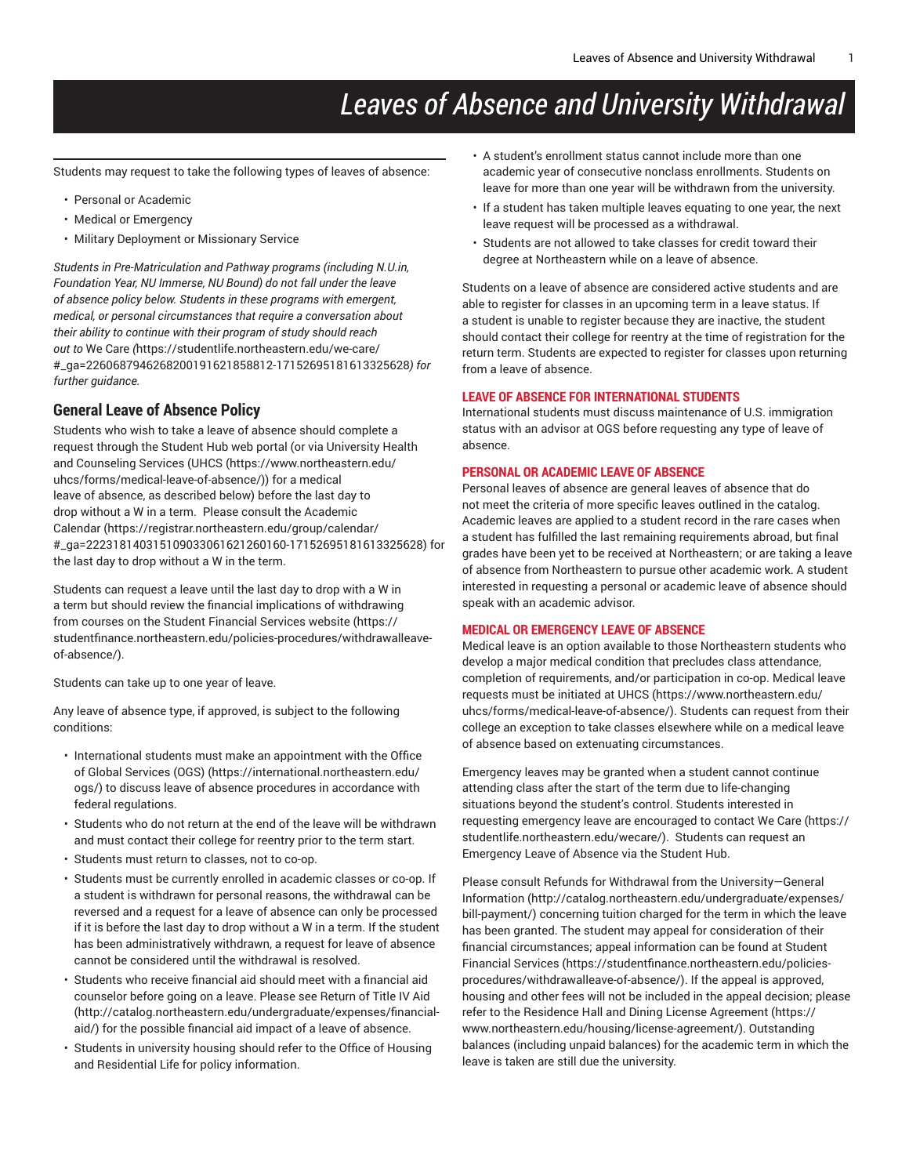# *Leaves of Absence and University Withdrawal*

Students may request to take the following types of leaves of absence:

- Personal or Academic
- Medical or Emergency
- Military Deployment or Missionary Service

*Students in Pre-Matriculation and Pathway programs (including N.U.in, Foundation Year, NU Immerse, NU Bound) do not fall under the leave of absence policy below. Students in these programs with emergent, medical, or personal circumstances that require a conversation about their ability to continue with their program of study should reach out to* We [Care](https://studentlife.northeastern.edu/we-care/#_ga=2260687946268200191621858812-17152695181613325628) *(*[https://studentlife.northeastern.edu/we-care/](https://studentlife.northeastern.edu/we-care/#_ga=2260687946268200191621858812-17152695181613325628) [#\\_ga=2260687946268200191621858812-17152695181613325628](https://studentlife.northeastern.edu/we-care/#_ga=2260687946268200191621858812-17152695181613325628)*) for further guidance.*

# **General Leave of Absence Policy**

Students who wish to take a leave of absence should complete a request through the Student Hub web portal (or via University Health and Counseling Services ([UHCS](https://www.northeastern.edu/uhcs/forms/medical-leave-of-absence/) ([https://www.northeastern.edu/](https://www.northeastern.edu/uhcs/forms/medical-leave-of-absence/) [uhcs/forms/medical-leave-of-absence/](https://www.northeastern.edu/uhcs/forms/medical-leave-of-absence/))) for a medical leave of absence, as described below) before the last day to drop without a W in a term. Please consult the [Academic](https://registrar.northeastern.edu/group/calendar/#_ga=222318140315109033061621260160-17152695181613325628) [Calendar](https://registrar.northeastern.edu/group/calendar/#_ga=222318140315109033061621260160-17152695181613325628) ([https://registrar.northeastern.edu/group/calendar/](https://registrar.northeastern.edu/group/calendar/#_ga=222318140315109033061621260160-17152695181613325628) [#\\_ga=222318140315109033061621260160-17152695181613325628](https://registrar.northeastern.edu/group/calendar/#_ga=222318140315109033061621260160-17152695181613325628)) for the last day to drop without a W in the term.

Students can request a leave until the last day to drop with a W in a term but should review the financial implications of withdrawing from courses on the Student [Financial](https://studentfinance.northeastern.edu/policies-procedures/withdrawalleave-of-absence/) Services website ([https://](https://studentfinance.northeastern.edu/policies-procedures/withdrawalleave-of-absence/) [studentfinance.northeastern.edu/policies-procedures/withdrawalleave](https://studentfinance.northeastern.edu/policies-procedures/withdrawalleave-of-absence/)[of-absence/](https://studentfinance.northeastern.edu/policies-procedures/withdrawalleave-of-absence/)).

Students can take up to one year of leave.

Any leave of absence type, if approved, is subject to the following conditions:

- International students must make an appointment with the [Office](https://international.northeastern.edu/ogs/) of Global [Services](https://international.northeastern.edu/ogs/) (OGS) ([https://international.northeastern.edu/](https://international.northeastern.edu/ogs/) [ogs/\)](https://international.northeastern.edu/ogs/) to discuss leave of absence procedures in accordance with federal regulations.
- Students who do not return at the end of the leave will be withdrawn and must contact their college for reentry prior to the term start.
- Students must return to classes, not to co-op.
- Students must be currently enrolled in academic classes or co-op. If a student is withdrawn for personal reasons, the withdrawal can be reversed and a request for a leave of absence can only be processed if it is before the last day to drop without a W in a term. If the student has been administratively withdrawn, a request for leave of absence cannot be considered until the withdrawal is resolved.
- Students who receive financial aid should meet with a financial aid counselor before going on a leave. Please see [Return of Title IV Aid](http://catalog.northeastern.edu/undergraduate/expenses/financial-aid/) ([http://catalog.northeastern.edu/undergraduate/expenses/financial](http://catalog.northeastern.edu/undergraduate/expenses/financial-aid/)[aid/](http://catalog.northeastern.edu/undergraduate/expenses/financial-aid/)) for the possible financial aid impact of a leave of absence.
- Students in university housing should refer to the Office of Housing and Residential Life for policy information.
- A student's enrollment status cannot include more than one academic year of consecutive nonclass enrollments. Students on leave for more than one year will be withdrawn from the university.
- If a student has taken multiple leaves equating to one year, the next leave request will be processed as a withdrawal.
- Students are not allowed to take classes for credit toward their degree at Northeastern while on a leave of absence.

Students on a leave of absence are considered active students and are able to register for classes in an upcoming term in a leave status. If a student is unable to register because they are inactive, the student should contact their college for reentry at the time of registration for the return term. Students are expected to register for classes upon returning from a leave of absence.

## **LEAVE OF ABSENCE FOR INTERNATIONAL STUDENTS**

International students must discuss maintenance of U.S. immigration status with an advisor at OGS before requesting any type of leave of absence.

## **PERSONAL OR ACADEMIC LEAVE OF ABSENCE**

Personal leaves of absence are general leaves of absence that do not meet the criteria of more specific leaves outlined in the catalog. Academic leaves are applied to a student record in the rare cases when a student has fulfilled the last remaining requirements abroad, but final grades have been yet to be received at Northeastern; or are taking a leave of absence from Northeastern to pursue other academic work. A student interested in requesting a personal or academic leave of absence should speak with an academic advisor.

## **MEDICAL OR EMERGENCY LEAVE OF ABSENCE**

Medical leave is an option available to those Northeastern students who develop a major medical condition that precludes class attendance, completion of requirements, and/or participation in co-op. Medical leave requests must be initiated at [UHCS](https://www.northeastern.edu/uhcs/forms/medical-leave-of-absence/) [\(https://www.northeastern.edu/](https://www.northeastern.edu/uhcs/forms/medical-leave-of-absence/) [uhcs/forms/medical-leave-of-absence/](https://www.northeastern.edu/uhcs/forms/medical-leave-of-absence/)). Students can request from their college an exception to take classes elsewhere while on a medical leave of absence based on extenuating circumstances.

Emergency leaves may be granted when a student cannot continue attending class after the start of the term due to life-changing situations beyond the student's control. Students interested in requesting emergency leave are encouraged to contact We [Care](https://studentlife.northeastern.edu/wecare/) ([https://](https://studentlife.northeastern.edu/wecare/) [studentlife.northeastern.edu/wecare/](https://studentlife.northeastern.edu/wecare/)). Students can request an Emergency Leave of Absence via the Student Hub.

Please consult Refunds for Withdrawal from the [University—General](http://catalog.northeastern.edu/undergraduate/expenses/bill-payment/) [Information](http://catalog.northeastern.edu/undergraduate/expenses/bill-payment/) [\(http://catalog.northeastern.edu/undergraduate/expenses/](http://catalog.northeastern.edu/undergraduate/expenses/bill-payment/) [bill-payment/\)](http://catalog.northeastern.edu/undergraduate/expenses/bill-payment/) concerning tuition charged for the term in which the leave has been granted. The student may appeal for consideration of their financial circumstances; appeal information can be found at [Student](https://studentfinance.northeastern.edu/policies-procedures/withdrawalleave-of-absence/) [Financial](https://studentfinance.northeastern.edu/policies-procedures/withdrawalleave-of-absence/) Services [\(https://studentfinance.northeastern.edu/policies](https://studentfinance.northeastern.edu/policies-procedures/withdrawalleave-of-absence/)[procedures/withdrawalleave-of-absence/\)](https://studentfinance.northeastern.edu/policies-procedures/withdrawalleave-of-absence/). If the appeal is approved, housing and other fees will not be included in the appeal decision; please refer to the Residence Hall and Dining License [Agreement \(https://](https://www.northeastern.edu/housing/license-agreement/) [www.northeastern.edu/housing/license-agreement/\)](https://www.northeastern.edu/housing/license-agreement/). Outstanding balances (including unpaid balances) for the academic term in which the leave is taken are still due the university.